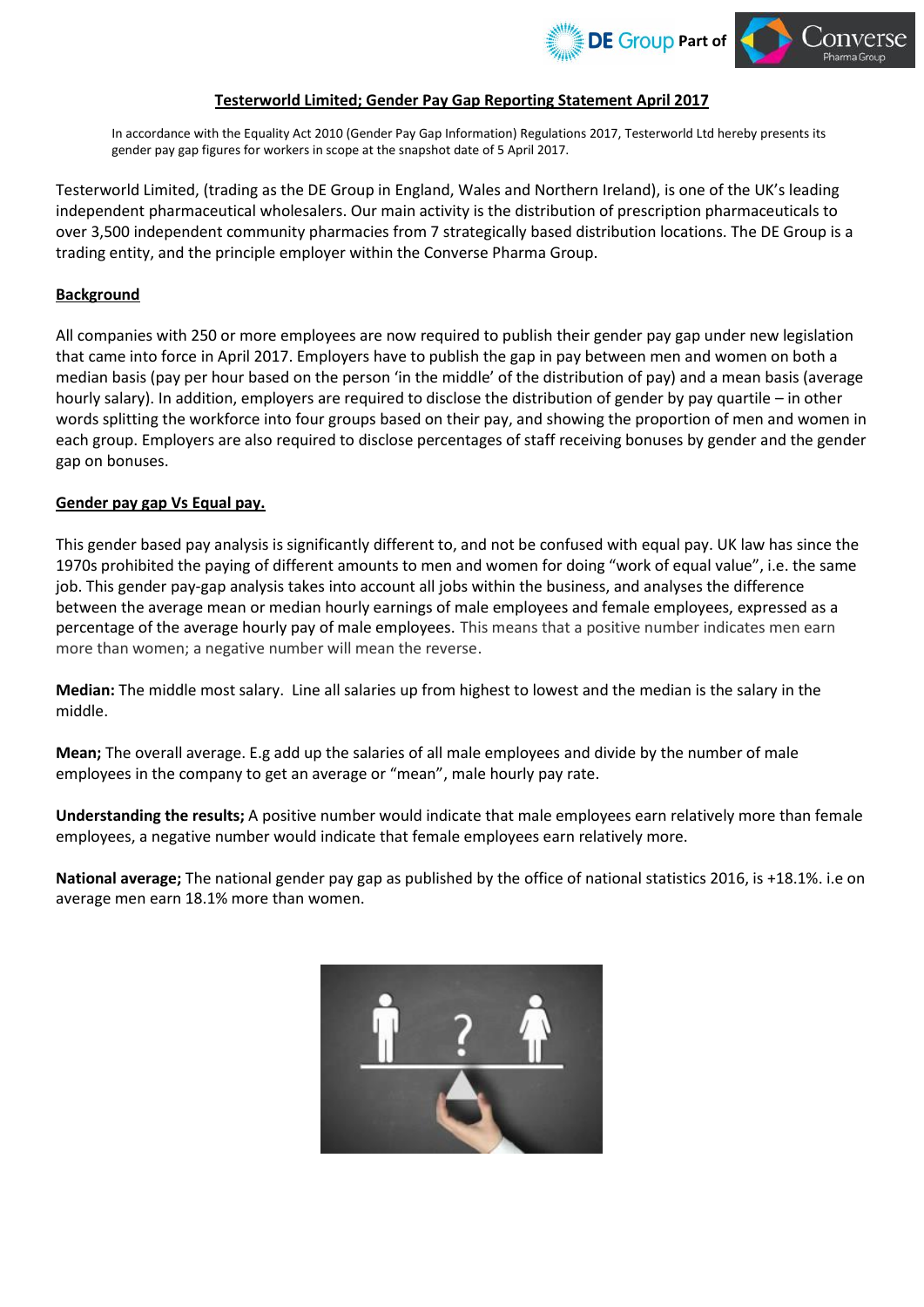

## **Testerworld Limited; Gender Pay Gap Reporting Statement April 2017**

In accordance with the Equality Act 2010 (Gender Pay Gap Information) Regulations 2017, Testerworld Ltd hereby presents its gender pay gap figures for workers in scope at the snapshot date of 5 April 2017.

Testerworld Limited, (trading as the DE Group in England, Wales and Northern Ireland), is one of the UK's leading independent pharmaceutical wholesalers. Our main activity is the distribution of prescription pharmaceuticals to over 3,500 independent community pharmacies from 7 strategically based distribution locations. The DE Group is a trading entity, and the principle employer within the Converse Pharma Group.

## **Background**

All companies with 250 or more employees are now required to publish their gender pay gap under new legislation that came into force in April 2017. Employers have to publish the gap in pay between men and women on both a median basis (pay per hour based on the person 'in the middle' of the distribution of pay) and a mean basis (average hourly salary). In addition, employers are required to disclose the distribution of gender by pay quartile – in other words splitting the workforce into four groups based on their pay, and showing the proportion of men and women in each group. Employers are also required to disclose percentages of staff receiving bonuses by gender and the gender gap on bonuses.

## **Gender pay gap Vs Equal pay.**

This gender based pay analysis is significantly different to, and not be confused with equal pay. UK law has since the 1970s prohibited the paying of different amounts to men and women for doing "work of equal value", i.e. the same job. This gender pay-gap analysis takes into account all jobs within the business, and analyses the difference between the average mean or median hourly earnings of male employees and female employees, expressed as a percentage of the average hourly pay of male employees. This means that a positive number indicates men earn more than women; a negative number will mean the reverse.

**Median:** The middle most salary. Line all salaries up from highest to lowest and the median is the salary in the middle.

**Mean;** The overall average. E.g add up the salaries of all male employees and divide by the number of male employees in the company to get an average or "mean", male hourly pay rate.

**Understanding the results;** A positive number would indicate that male employees earn relatively more than female employees, a negative number would indicate that female employees earn relatively more.

**National average;** The national gender pay gap as published by the office of national statistics 2016, is +18.1%. i.e on average men earn 18.1% more than women.

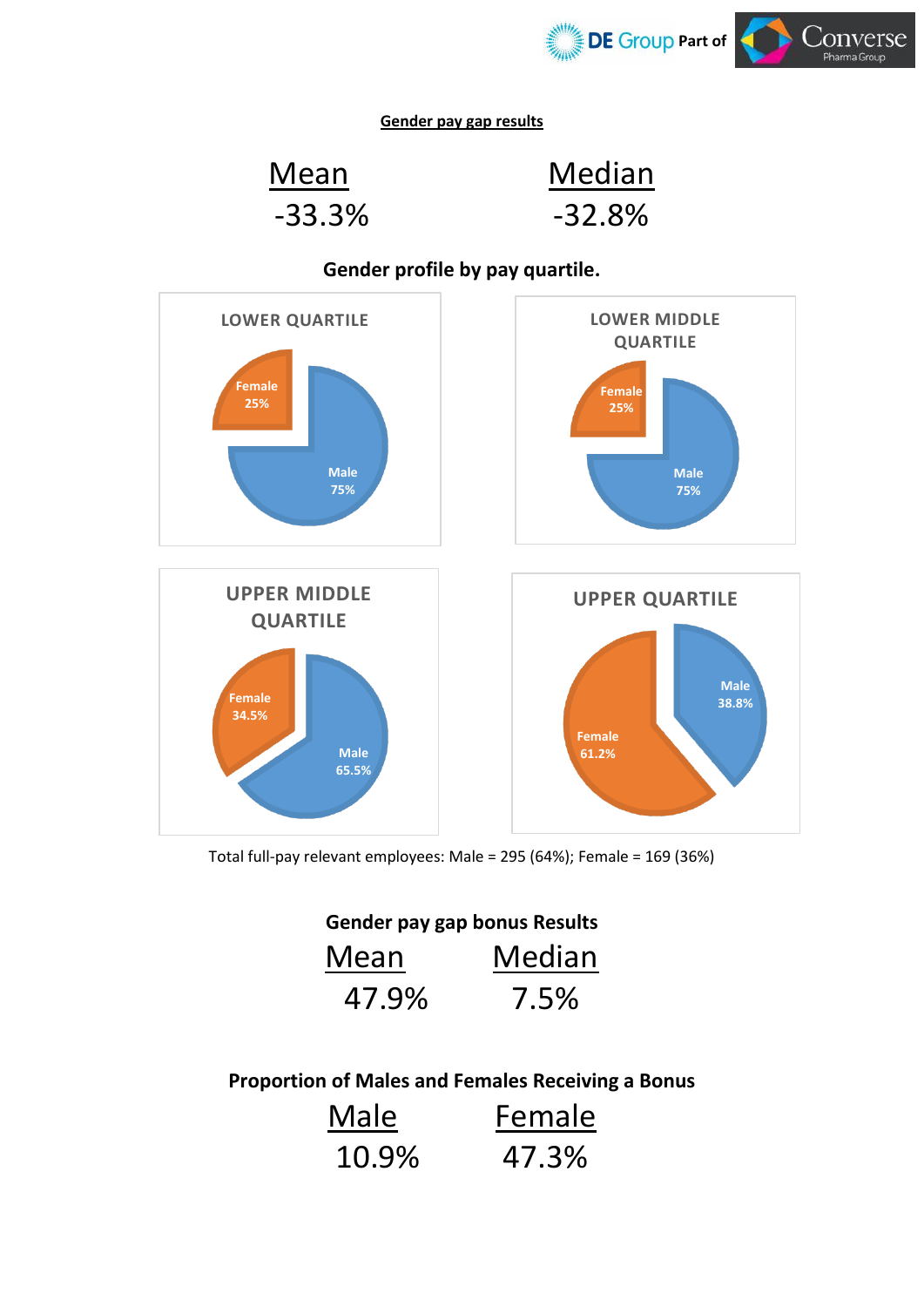

**Gender pay gap results**

Mean Median -33.3% -32.8%



**Gender profile by pay quartile.**

Total full-pay relevant employees: Male = 295 (64%); Female = 169 (36%)

**Gender pay gap bonus Results**

| Mean  | Median |
|-------|--------|
| 47.9% | 7.5%   |

**Proportion of Males and Females Receiving a Bonus**

| Male  | Female |
|-------|--------|
| 10.9% | 47.3%  |